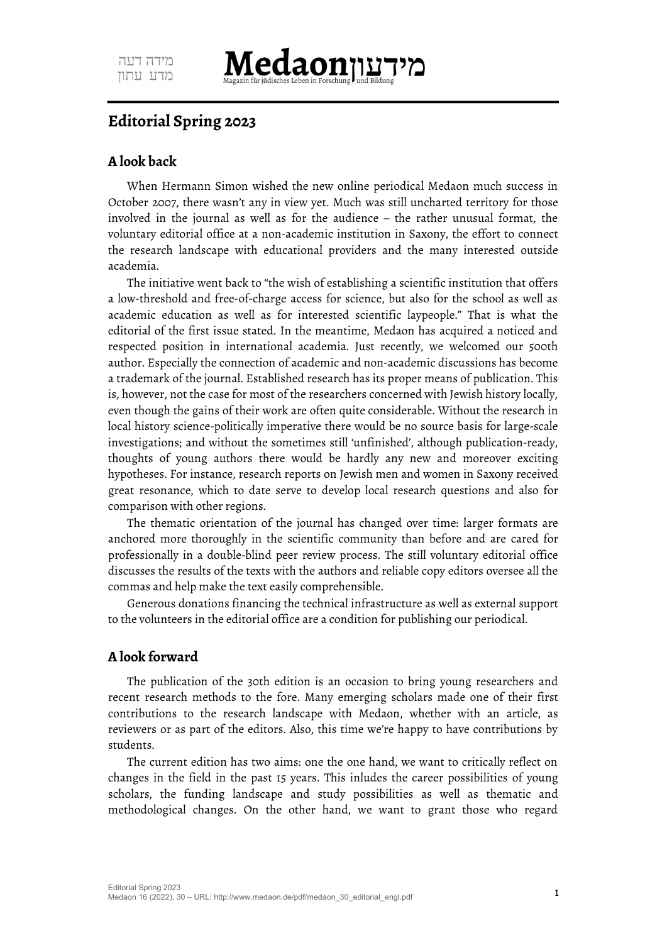

## **Editorial Spring 2023**

## **A look back**

When Hermann Simon wished the new online periodical Medaon much success in October 2007, there wasn't any in view yet. Much was still uncharted territory for those involved in the journal as well as for the audience – the rather unusual format, the voluntary editorial office at a non-academic institution in Saxony, the effort to connect the research landscape with educational providers and the many interested outside academia.

The initiative went back to "the wish of establishing a scientific institution that offers a low-threshold and free-of-charge access for science, but also for the school as well as academic education as well as for interested scientific laypeople." That is what the editorial of the first issue stated. In the meantime, Medaon has acquired a noticed and respected position in international academia. Just recently, we welcomed our 500th author. Especially the connection of academic and non-academic discussions has become a trademark of the journal. Established research has its proper means of publication. This is, however, not the case for most of the researchers concerned with Jewish history locally, even though the gains of their work are often quite considerable. Without the research in local history science-politically imperative there would be no source basis for large-scale investigations; and without the sometimes still 'unfinished', although publication-ready, thoughts of young authors there would be hardly any new and moreover exciting hypotheses. For instance, research reports on Jewish men and women in Saxony received great resonance, which to date serve to develop local research questions and also for comparison with other regions.

The thematic orientation of the journal has changed over time: larger formats are anchored more thoroughly in the scientific community than before and are cared for professionally in a double-blind peer review process. The still voluntary editorial office discusses the results of the texts with the authors and reliable copy editors oversee all the commas and help make the text easily comprehensible.

Generous donations financing the technical infrastructure as well as external support to the volunteers in the editorial office are a condition for publishing our periodical.

## **A look forward**

The publication of the 30th edition is an occasion to bring young researchers and recent research methods to the fore. Many emerging scholars made one of their first contributions to the research landscape with Medaon, whether with an article, as reviewers or as part of the editors. Also, this time we're happy to have contributions by students.

The current edition has two aims: one the one hand, we want to critically reflect on changes in the field in the past 15 years. This inludes the career possibilities of young scholars, the funding landscape and study possibilities as well as thematic and methodological changes. On the other hand, we want to grant those who regard